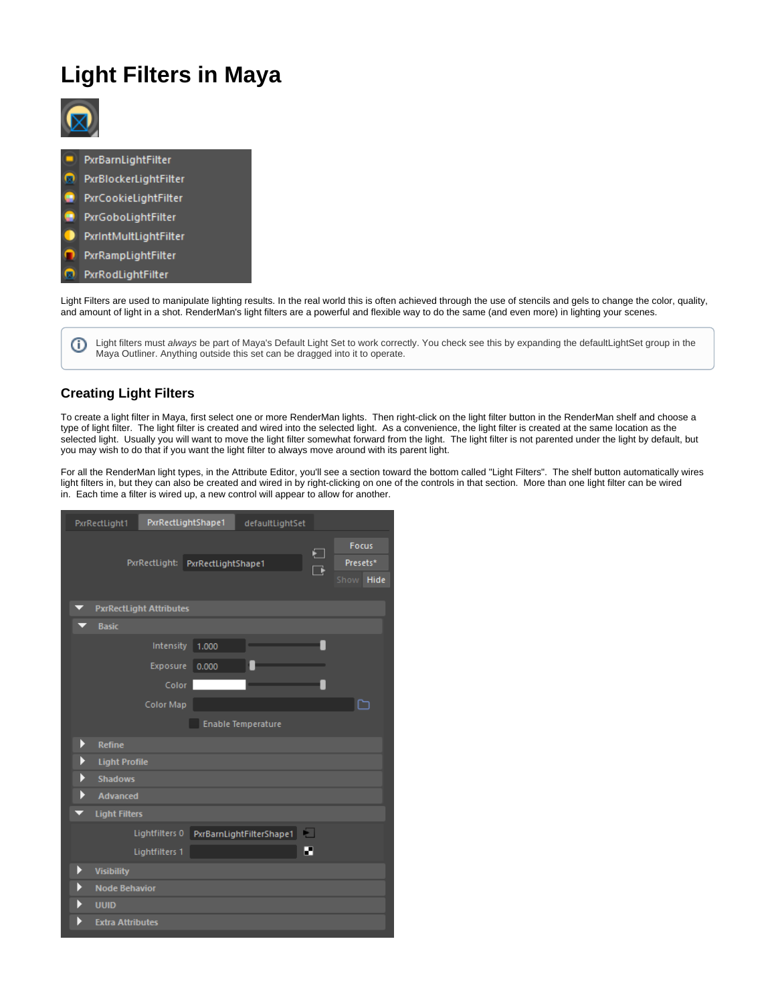# **Light Filters in Maya**



PxrBarnLightFilter PxrBlockerLightFilter PxrCookieLightFilter PxrGoboLightFilter PxrIntMultLightFilter PxrRampLightFilter PxrRodLightFilter 凤

Light Filters are used to manipulate lighting results. In the real world this is often achieved through the use of stencils and gels to change the color, quality, and amount of light in a shot. RenderMan's light filters are a powerful and flexible way to do the same (and even more) in lighting your scenes.

Light filters must always be part of Maya's Default Light Set to work correctly. You check see this by expanding the defaultLightSet group in the O) Maya Outliner. Anything outside this set can be dragged into it to operate.

## **Creating Light Filters**

To create a light filter in Maya, first select one or more RenderMan lights. Then right-click on the light filter button in the RenderMan shelf and choose a type of light filter. The light filter is created and wired into the selected light. As a convenience, the light filter is created at the same location as the selected light. Usually you will want to move the light filter somewhat forward from the light. The light filter is not parented under the light by default, but you may wish to do that if you want the light filter to always move around with its parent light.

For all the RenderMan light types, in the Attribute Editor, you'll see a section toward the bottom called "Light Filters". The shelf button automatically wires light filters in, but they can also be created and wired in by right-clicking on one of the controls in that section. More than one light filter can be wired in. Each time a filter is wired up, a new control will appear to allow for another.

| PxrRectLight1                  | PxrRectLightShape1               |       | defaultLightSet           |             |                                          |
|--------------------------------|----------------------------------|-------|---------------------------|-------------|------------------------------------------|
|                                | PxrRectLight: PxrRectLightShape1 |       |                           | €<br>$\Box$ | <b>Focus</b><br>Presets*<br>Show<br>Hide |
| <b>PxrRectLight Attributes</b> |                                  |       |                           |             |                                          |
| <b>Basic</b>                   |                                  |       |                           |             |                                          |
|                                | Intensity                        | 1.000 |                           |             |                                          |
|                                | Exposure                         | 0.000 |                           |             |                                          |
|                                | Color                            |       |                           |             |                                          |
|                                | Color Map                        |       |                           |             | E                                        |
|                                |                                  |       | <b>Enable Temperature</b> |             |                                          |
| Þ<br><b>Refine</b>             |                                  |       |                           |             |                                          |
| <b>Light Profile</b><br>Þ      |                                  |       |                           |             |                                          |
| <b>Shadows</b><br>Þ            |                                  |       |                           |             |                                          |
| <b>Advanced</b><br>Þ           |                                  |       |                           |             |                                          |
| <b>Light Filters</b>           |                                  |       |                           |             |                                          |
|                                | Lightfilters 0                   |       | PxrBarnLightFilterShape1  | ÷.          |                                          |
|                                | Lightfilters 1                   |       |                           | Е           |                                          |
| Þ<br><b>Visibility</b>         |                                  |       |                           |             |                                          |
| <b>Node Behavior</b>           |                                  |       |                           |             |                                          |
| <b>UUID</b>                    |                                  |       |                           |             |                                          |
| <b>Extra Attributes</b>        |                                  |       |                           |             |                                          |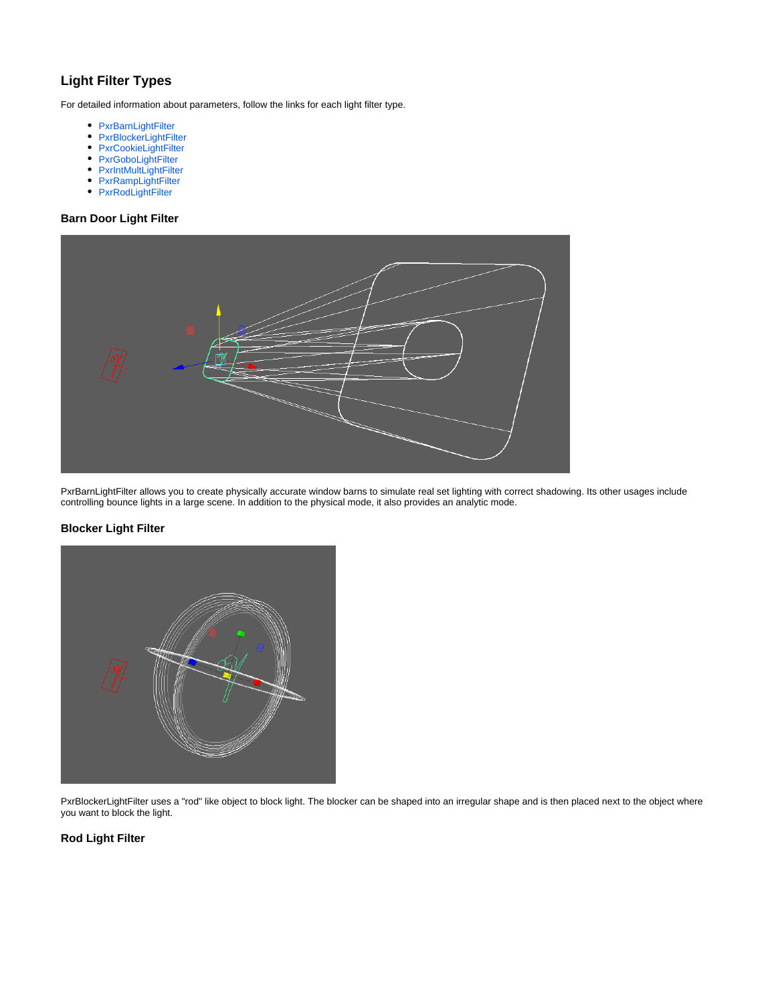## **Light Filter Types**

For detailed information about parameters, follow the links for each light filter type.

- [PxrBarnLightFilter](https://rmanwiki.pixar.com/display/REN/PxrBarnLightFilter)
- [PxrBlockerLightFilter](https://rmanwiki.pixar.com/display/REN/PxrBlockerLightFilter)
- [PxrCookieLightFilter](https://rmanwiki.pixar.com/display/REN/PxrCookieLightFilter)
- [PxrGoboLightFilter](https://rmanwiki.pixar.com/display/REN/PxrGoboLightFilter)
- [PxrIntMultLightFilter](https://rmanwiki.pixar.com/display/REN/PxrIntMultLightFilter)
- [PxrRampLightFilter](https://rmanwiki.pixar.com/display/REN/PxrRampLightFilter)
- [PxrRodLightFilter](https://rmanwiki.pixar.com/display/REN/PxrRodLightFilter)

### **Barn Door Light Filter**



PxrBarnLightFilter allows you to create physically accurate window barns to simulate real set lighting with correct shadowing. Its other usages include controlling bounce lights in a large scene. In addition to the physical mode, it also provides an analytic mode.

#### **Blocker Light Filter**



PxrBlockerLightFilter uses a "rod" like object to block light. The blocker can be shaped into an irregular shape and is then placed next to the object where you want to block the light.

#### **Rod Light Filter**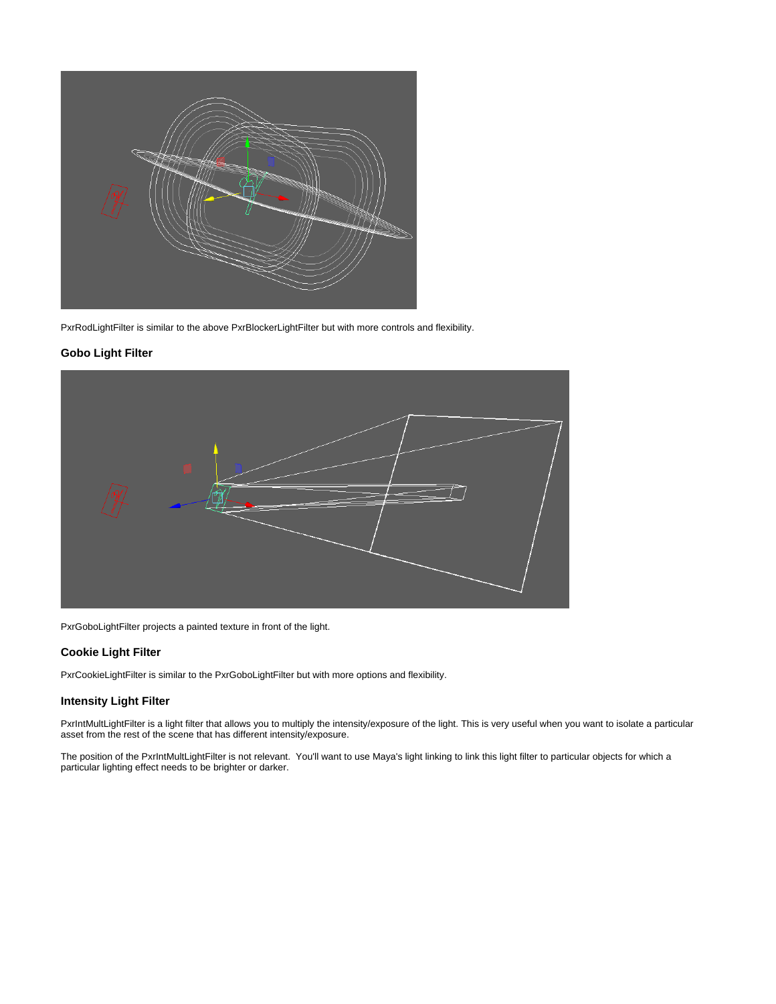

PxrRodLightFilter is similar to the above PxrBlockerLightFilter but with more controls and flexibility.

#### **Gobo Light Filter**



PxrGoboLightFilter projects a painted texture in front of the light.

#### **Cookie Light Filter**

PxrCookieLightFilter is similar to the PxrGoboLightFilter but with more options and flexibility.

#### **Intensity Light Filter**

PxrIntMultLightFilter is a light filter that allows you to multiply the intensity/exposure of the light. This is very useful when you want to isolate a particular asset from the rest of the scene that has different intensity/exposure.

The position of the PxrIntMultLightFilter is not relevant. You'll want to use Maya's light linking to link this light filter to particular objects for which a particular lighting effect needs to be brighter or darker.